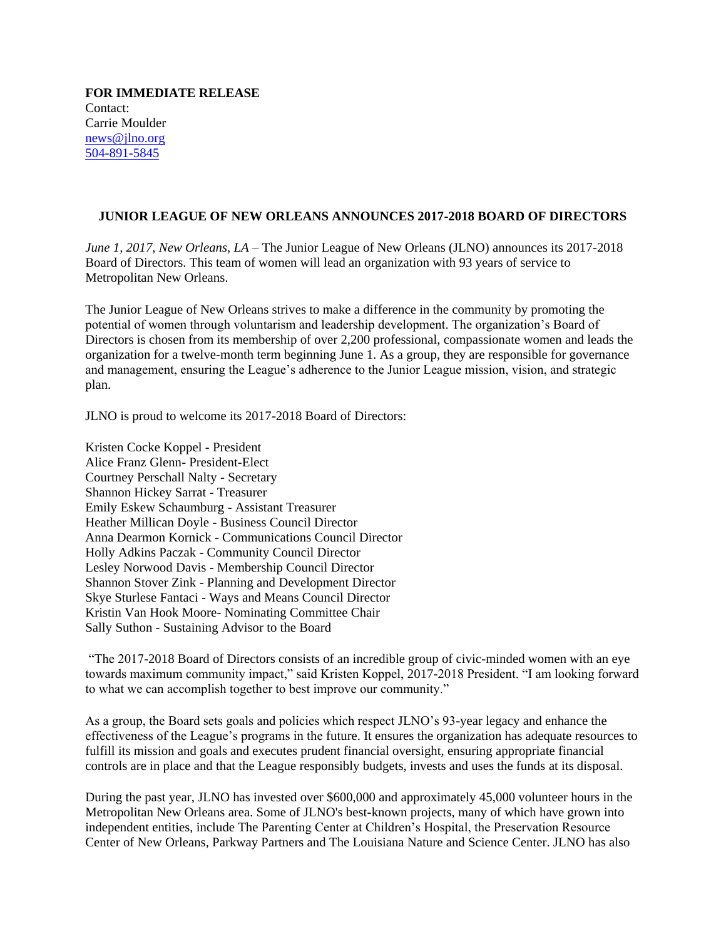**FOR IMMEDIATE RELEASE** Contact: Carrie Moulder [news@jlno.org](mailto:news@jlno.org) [504-891-5845](tel:504-891-5845)

## **JUNIOR LEAGUE OF NEW ORLEANS ANNOUNCES 2017-2018 BOARD OF DIRECTORS**

*June 1, 2017, New Orleans, LA* – The Junior League of New Orleans (JLNO) announces its 2017-2018 Board of Directors. This team of women will lead an organization with 93 years of service to Metropolitan New Orleans.

The Junior League of New Orleans strives to make a difference in the community by promoting the potential of women through voluntarism and leadership development. The organization's Board of Directors is chosen from its membership of over 2,200 professional, compassionate women and leads the organization for a twelve-month term beginning June 1. As a group, they are responsible for governance and management, ensuring the League's adherence to the Junior League mission, vision, and strategic plan.

JLNO is proud to welcome its 2017-2018 Board of Directors:

Kristen Cocke Koppel - President Alice Franz Glenn- President-Elect Courtney Perschall Nalty - Secretary Shannon Hickey Sarrat - Treasurer Emily Eskew Schaumburg - Assistant Treasurer Heather Millican Doyle - Business Council Director Anna Dearmon Kornick - Communications Council Director Holly Adkins Paczak - Community Council Director Lesley Norwood Davis - Membership Council Director Shannon Stover Zink - Planning and Development Director Skye Sturlese Fantaci - Ways and Means Council Director Kristin Van Hook Moore- Nominating Committee Chair Sally Suthon - Sustaining Advisor to the Board

"The 2017-2018 Board of Directors consists of an incredible group of civic-minded women with an eye towards maximum community impact," said Kristen Koppel, 2017-2018 President. "I am looking forward to what we can accomplish together to best improve our community."

As a group, the Board sets goals and policies which respect JLNO's 93-year legacy and enhance the effectiveness of the League's programs in the future. It ensures the organization has adequate resources to fulfill its mission and goals and executes prudent financial oversight, ensuring appropriate financial controls are in place and that the League responsibly budgets, invests and uses the funds at its disposal.

During the past year, JLNO has invested over \$600,000 and approximately 45,000 volunteer hours in the Metropolitan New Orleans area. Some of JLNO's best-known projects, many of which have grown into independent entities, include The Parenting Center at Children's Hospital, the Preservation Resource Center of New Orleans, Parkway Partners and The Louisiana Nature and Science Center. JLNO has also